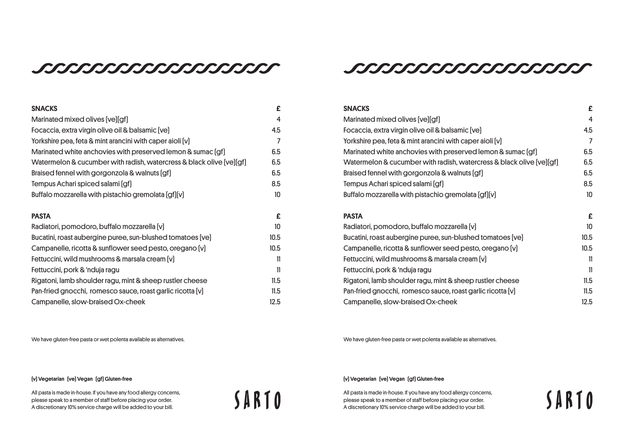## **JUNITALIUM MULLUM LUMBULIUM**

| <b>SNACKS</b>                                                        | £              |
|----------------------------------------------------------------------|----------------|
| Marinated mixed olives [ve][gf]                                      | 4              |
| Focaccia, extra virgin olive oil & balsamic [ve]                     | 4.5            |
| Yorkshire pea, feta & mint arancini with caper aioli [v]             | $\overline{7}$ |
| Marinated white anchovies with preserved lemon & sumac [gf]          | 6.5            |
| Watermelon & cucumber with radish, watercress & black olive [ve][gf] | 6.5            |
| Braised fennel with gorgonzola & walnuts [gf]                        | 6.5            |
| Tempus Achari spiced salami [gf]                                     | 8.5            |
| Buffalo mozzarella with pistachio gremolata [gf][v]                  | 10             |
| <b>PASTA</b>                                                         | £              |
| Radiatori, pomodoro, buffalo mozzarella [v]                          | 10             |
| Bucatini, roast aubergine puree, sun-blushed tomatoes [ve]           | 10.5           |
| Campanelle, ricotta & sunflower seed pesto, oregano [v]              | 10.5           |
| Fettuccini, wild mushrooms & marsala cream [v]                       | 11             |
| Fettuccini, pork & 'nduja ragu                                       | 11             |
| Rigatoni, lamb shoulder ragu, mint & sheep rustler cheese            | 11.5           |
| Pan-fried gnocchi, romesco sauce, roast garlic ricotta [v]           | 11.5           |
| Campanelle, slow-braised Ox-cheek                                    | 12.5           |

We have gluten-free pasta or wet polenta available as alternatives.

#### (v) Vegetarian (ve) Vegan (gf) Gluten-free

All pasta is made in-house. If you have any food allergy concerns, please speak to a member of staff before placing your order. A discretionary 10% service charge will be added to your bill.

SARTO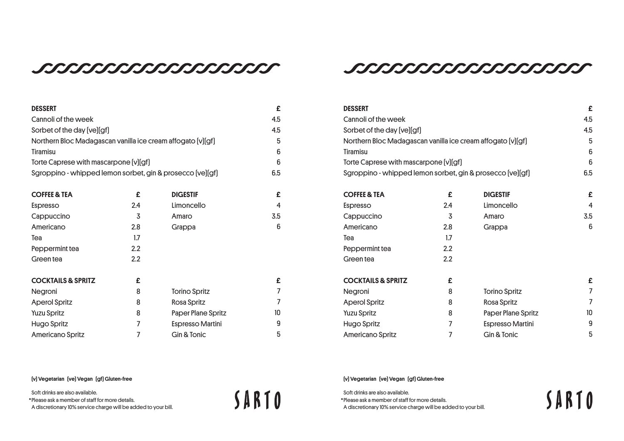

| <b>DESSERT</b>                                              |     |                         | £                |
|-------------------------------------------------------------|-----|-------------------------|------------------|
| Cannoli of the week                                         |     |                         | 4.5              |
| Sorbet of the day [ve][gf]                                  |     |                         | 4.5              |
| Northern Bloc Madagascan vanilla ice cream affogato [v][gf] |     |                         |                  |
| <b>Tiramisu</b>                                             |     |                         | 6                |
| Torte Caprese with mascarpone [v][gf]                       |     |                         |                  |
| Sgroppino - whipped lemon sorbet, gin & prosecco [ve][gf]   |     |                         | 6.5              |
| <b>COFFEE &amp; TEA</b>                                     | £   | <b>DIGESTIF</b>         | £                |
| Espresso                                                    | 2.4 | Limoncello              | 4                |
| Cappuccino                                                  | 3   | Amaro                   | 3.5              |
| Americano                                                   | 2.8 | Grappa                  | 6                |
| Tea                                                         | 1.7 |                         |                  |
| Peppermint tea                                              | 2.2 |                         |                  |
| Green tea                                                   | 2.2 |                         |                  |
| <b>COCKTAILS &amp; SPRITZ</b>                               | £   |                         | £                |
| Negroni                                                     | 8   | <b>Torino Spritz</b>    | 7                |
| <b>Aperol Spritz</b>                                        | 8   | Rosa Spritz             | 7                |
| <b>Yuzu Spritz</b>                                          | 8   | Paper Plane Spritz      | 10 <sup>10</sup> |
| Hugo Spritz                                                 | 7   | <b>Espresso Martini</b> | 9                |
| <b>Americano Spritz</b>                                     | 7   | Gin & Tonic             | 5                |

#### (v) Vegetarian (ve) Vegan (gf) Gluten-free

Soft drinks are also available.

Please ask a member of staff for more details.

A discretionary 10% service charge will be added to your bill.

# SARTO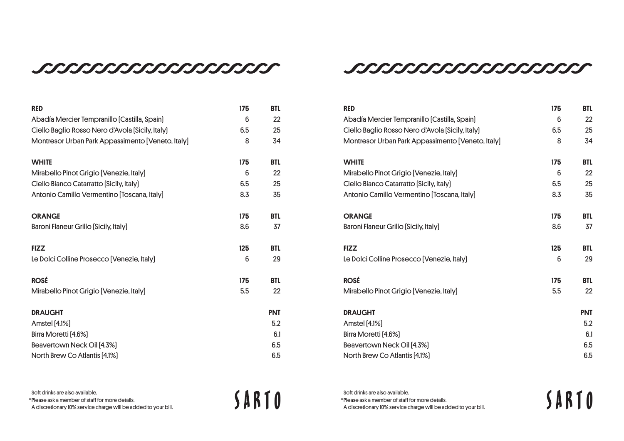## 

| <b>RED</b>                                        | 175 | <b>BTL</b> |
|---------------------------------------------------|-----|------------|
| Abadía Mercier Tempranillo [Castilla, Spain]      | 6   | 22         |
| Ciello Baglio Rosso Nero d'Avola (Sicily, Italy)  | 6.5 | 25         |
| Montresor Urban Park Appassimento [Veneto, Italy] | 8   | 34         |
| <b>WHITE</b>                                      | 175 | <b>BTL</b> |
| Mirabello Pinot Grigio [Venezie, Italy]           | 6   | 22         |
| Ciello Bianco Catarratto [Sicily, Italy]          | 6.5 | 25         |
| Antonio Camillo Vermentino [Toscana, Italy]       | 8.3 | 35         |
| <b>ORANGE</b>                                     | 175 | <b>BTL</b> |
| Baroni Flaneur Grillo (Sicily, Italy)             | 8.6 | 37         |
| <b>FIZZ</b>                                       | 125 | <b>BTL</b> |
| Le Dolci Colline Prosecco [Venezie, Italy]        | 6   | 29         |
| <b>ROSÉ</b>                                       | 175 | <b>BTL</b> |
| Mirabello Pinot Grigio [Venezie, Italy]           | 5.5 | 22         |
| <b>DRAUGHT</b>                                    |     | <b>PNT</b> |
| Amstel [4.1%]                                     |     | 5.2        |
| Birra Moretti [4.6%]                              |     | 6.1        |
| Beavertown Neck Oil [4.3%]                        |     | 6.5        |
| North Brew Co Atlantis [4.1%]                     |     | 6.5        |

SARTO Soft drinks are also available. Please ask a member of staff for more details. A discretionary 10% service charge will be added to your bill.